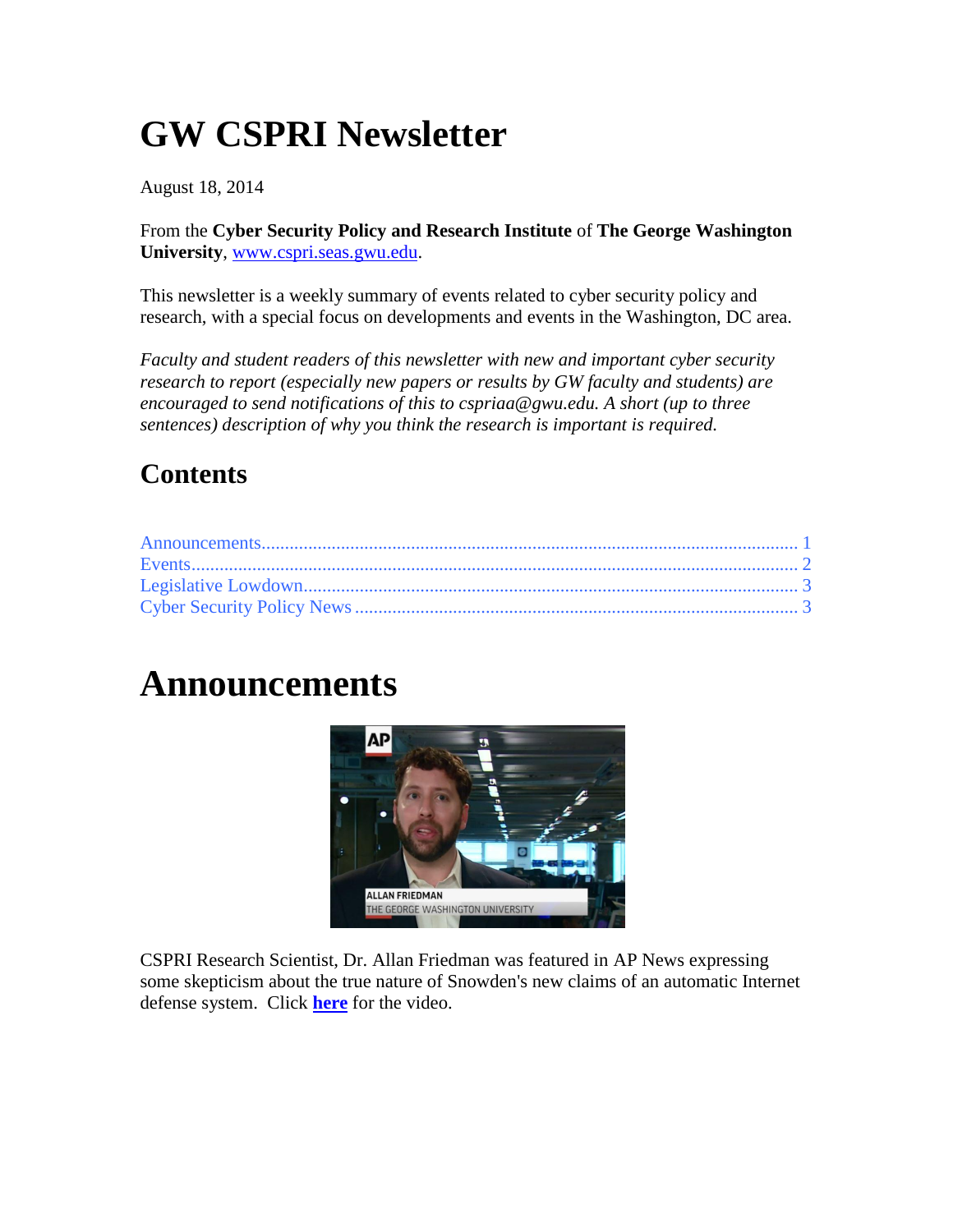## **GW CSPRI Newsletter**

August 18, 2014

From the **Cyber Security Policy and Research Institute** of **The George Washington University**, [www.cspri.seas.gwu.edu.](http://www.cspri.seas.gwu.edu/)

This newsletter is a weekly summary of events related to cyber security policy and research, with a special focus on developments and events in the Washington, DC area.

*Faculty and student readers of this newsletter with new and important cyber security research to report (especially new papers or results by GW faculty and students) are encouraged to send notifications of this to cspriaa@gwu.edu. A short (up to three sentences) description of why you think the research is important is required.*

#### **Contents**

### <span id="page-0-0"></span>**Announcements**



CSPRI Research Scientist, Dr. Allan Friedman was featured in AP News expressing some skepticism about the true nature of Snowden's new claims of an automatic Internet defense system. Click **[here](http://www.usatoday.com/videos/news/world/2014/08/13/14027175/)** for the video.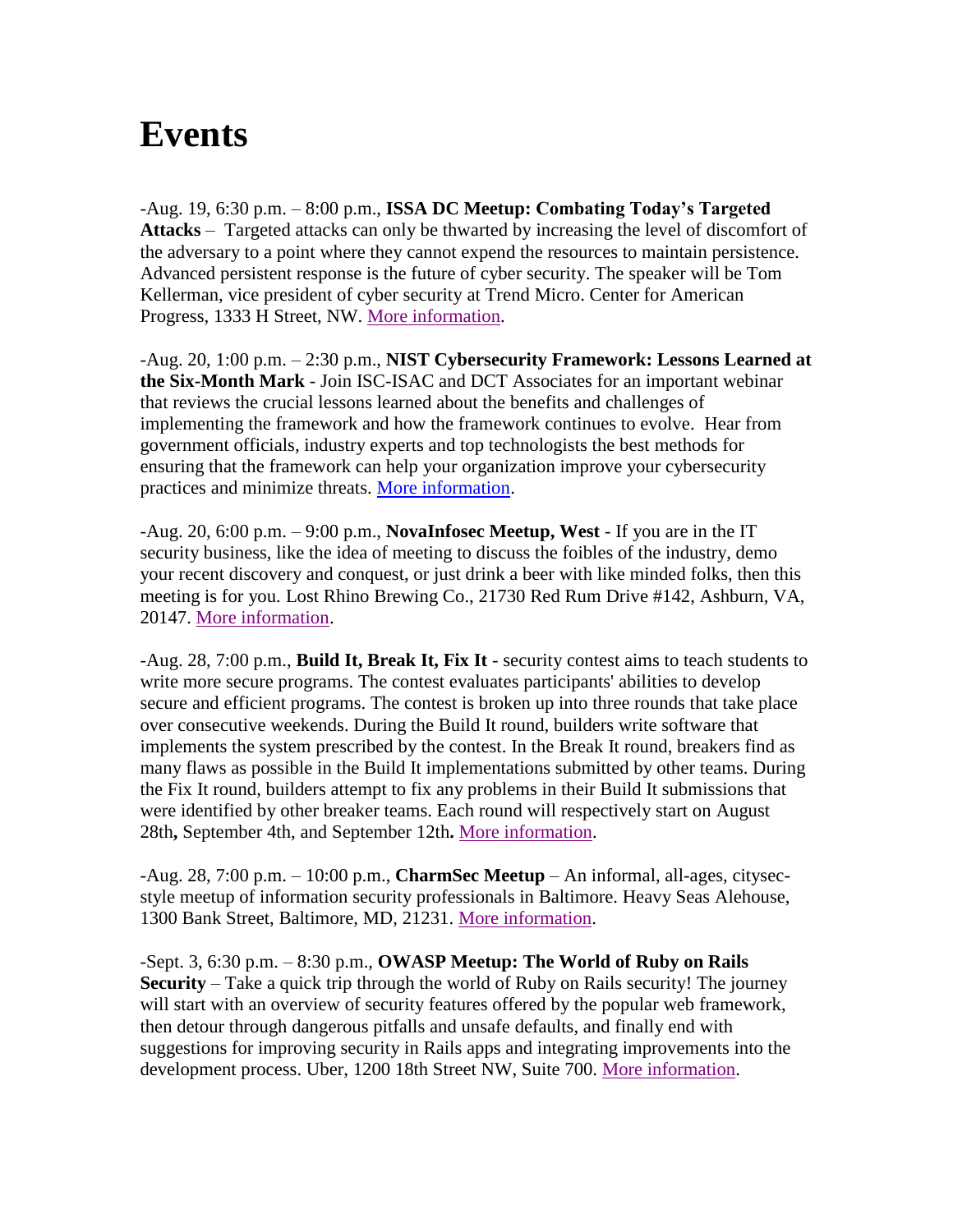#### <span id="page-1-0"></span>**Events**

-Aug. 19, 6:30 p.m. – 8:00 p.m., **ISSA DC Meetup: Combating Today's Targeted Attacks** – Targeted attacks can only be thwarted by increasing the level of discomfort of the adversary to a point where they cannot expend the resources to maintain persistence. Advanced persistent response is the future of cyber security. The speaker will be Tom Kellerman, vice president of cyber security at Trend Micro. Center for American Progress, 1333 H Street, NW. [More information.](http://www.issa-dc.org/)

-Aug. 20, 1:00 p.m. – 2:30 p.m., **NIST Cybersecurity Framework: Lessons Learned at the Six-Month Mark** - Join ISC-ISAC and DCT Associates for an important webinar that reviews the crucial lessons learned about the benefits and challenges of implementing the framework and how the framework continues to evolve. Hear from government officials, industry experts and top technologists the best methods for ensuring that the framework can help your organization improve your cybersecurity practices and minimize threats. [More information.](https://attendee.gotowebinar.com/register/6289171685678588930)

-Aug. 20, 6:00 p.m. – 9:00 p.m., **NovaInfosec Meetup, West** - If you are in the IT security business, like the idea of meeting to discuss the foibles of the industry, demo your recent discovery and conquest, or just drink a beer with like minded folks, then this meeting is for you. Lost Rhino Brewing Co., 21730 Red Rum Drive #142, Ashburn, VA, 20147. [More information.](http://www.meetup.com/NovaInfosec-com-Meetup/events/194995702/)

-Aug. 28, 7:00 p.m., **Build It, Break It, Fix It** - security contest aims to teach students to write more secure programs. The contest evaluates participants' abilities to develop secure and efficient programs. The contest is broken up into three rounds that take place over consecutive weekends. During the Build It round, builders write software that implements the system prescribed by the contest. In the Break It round, breakers find as many flaws as possible in the Build It implementations submitted by other teams. During the Fix It round, builders attempt to fix any problems in their Build It submissions that were identified by other breaker teams. Each round will respectively start on August 28th**,** September 4th, and September 12th**.** [More information.](https://www.builditbreakit.org/announcements)

-Aug. 28, 7:00 p.m. – 10:00 p.m., **CharmSec Meetup** – An informal, all-ages, citysecstyle meetup of information security professionals in Baltimore. Heavy Seas Alehouse, 1300 Bank Street, Baltimore, MD, 21231. [More information.](http://charmsec.org/)

-Sept. 3, 6:30 p.m. – 8:30 p.m., **OWASP Meetup: The World of Ruby on Rails Security** – Take a quick trip through the world of Ruby on Rails security! The journey will start with an overview of security features offered by the popular web framework, then detour through dangerous pitfalls and unsafe defaults, and finally end with suggestions for improving security in Rails apps and integrating improvements into the development process. Uber, 1200 18th Street NW, Suite 700. [More information.](http://www.meetup.com/OWASPDC/events/196158072/)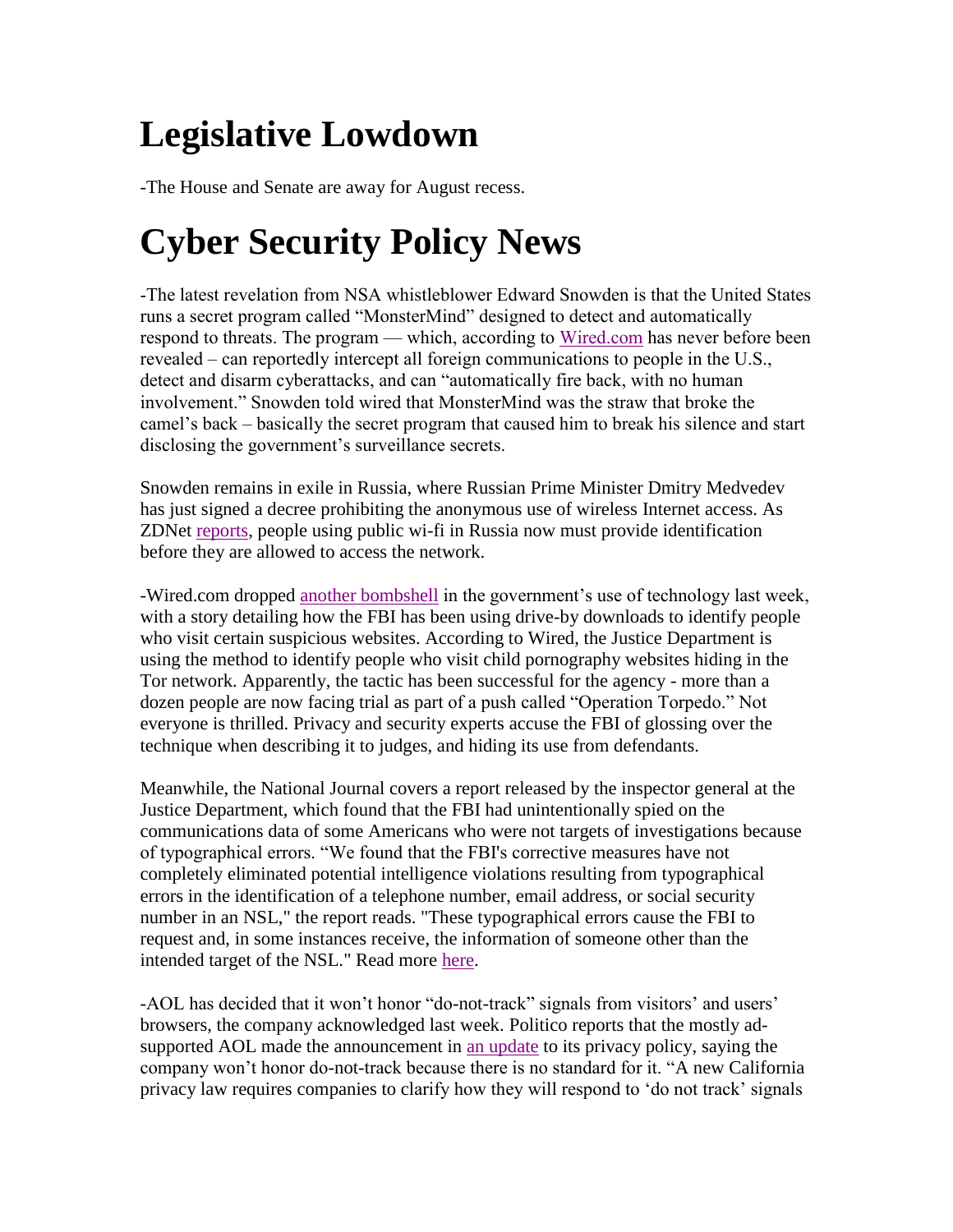# <span id="page-2-0"></span>**Legislative Lowdown**

-The House and Senate are away for August recess.

# <span id="page-2-1"></span>**Cyber Security Policy News**

-The latest revelation from NSA whistleblower Edward Snowden is that the United States runs a secret program called "MonsterMind" designed to detect and automatically respond to threats. The program — which, according to [Wired.com](http://www.wired.com/2014/08/edward-snowden) has never before been revealed – can reportedly intercept all foreign communications to people in the U.S., detect and disarm cyberattacks, and can "automatically fire back, with no human involvement." Snowden told wired that MonsterMind was the straw that broke the camel's back – basically the secret program that caused him to break his silence and start disclosing the government's surveillance secrets.

Snowden remains in exile in Russia, where Russian Prime Minister Dmitry Medvedev has just signed a decree prohibiting the anonymous use of wireless Internet access. As ZDNet [reports,](http://www.zdnet.com/russia-bans-anonymous-wifi-7000032464/) people using public wi-fi in Russia now must provide identification before they are allowed to access the network.

-Wired.com dropped [another bombshell](http://www.wired.com/2014/08/operation_torpedo/) in the government's use of technology last week, with a story detailing how the FBI has been using drive-by downloads to identify people who visit certain suspicious websites. According to Wired, the Justice Department is using the method to identify people who visit child pornography websites hiding in the Tor network. Apparently, the tactic has been successful for the agency - more than a dozen people are now facing trial as part of a push called "Operation Torpedo." Not everyone is thrilled. Privacy and security experts accuse the FBI of glossing over the technique when describing it to judges, and hiding its use from defendants.

Meanwhile, the National Journal covers a report released by the inspector general at the Justice Department, which found that the FBI had unintentionally spied on the communications data of some Americans who were not targets of investigations because of typographical errors. "We found that the FBI's corrective measures have not completely eliminated potential intelligence violations resulting from typographical errors in the identification of a telephone number, email address, or social security number in an NSL," the report reads. "These typographical errors cause the FBI to request and, in some instances receive, the information of someone other than the intended target of the NSL." Read more [here.](http://www.nationaljournal.com/tech/watchdog-the-fbi-spied-on-the-wrong-people-because-of-typos-20140814)

-AOL has decided that it won't honor "do-not-track" signals from visitors' and users' browsers, the company acknowledged last week. Politico reports that the mostly adsupported AOL made the announcement in [an update](http://aol.it/1kFA22i) to its privacy policy, saying the company won't honor do-not-track because there is no standard for it. "A new California privacy law requires companies to clarify how they will respond to 'do not track' signals